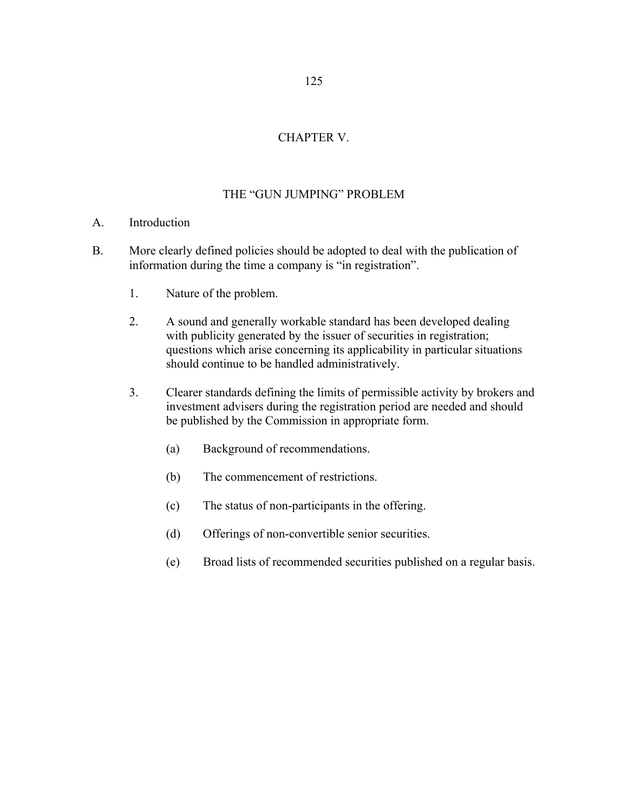# CHAPTER V.

# THE "GUN JUMPING" PROBLEM

## A. Introduction

- B. More clearly defined policies should be adopted to deal with the publication of information during the time a company is "in registration".
	- 1. Nature of the problem.
	- 2. A sound and generally workable standard has been developed dealing with publicity generated by the issuer of securities in registration; questions which arise concerning its applicability in particular situations should continue to be handled administratively.
	- 3. Clearer standards defining the limits of permissible activity by brokers and investment advisers during the registration period are needed and should be published by the Commission in appropriate form.
		- (a) Background of recommendations.
		- (b) The commencement of restrictions.
		- (c) The status of non-participants in the offering.
		- (d) Offerings of non-convertible senior securities.
		- (e) Broad lists of recommended securities published on a regular basis.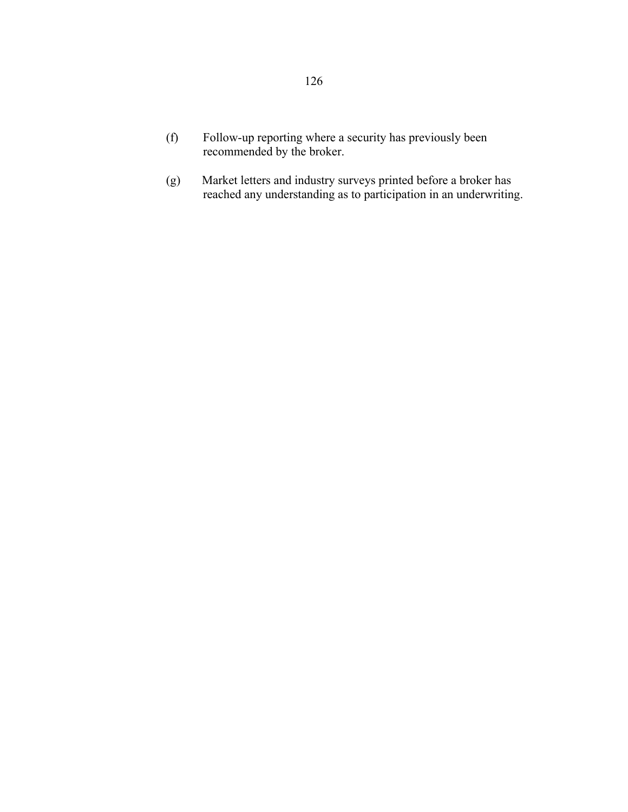- (f) Follow-up reporting where a security has previously been recommended by the broker.
- (g) Market letters and industry surveys printed before a broker has reached any understanding as to participation in an underwriting.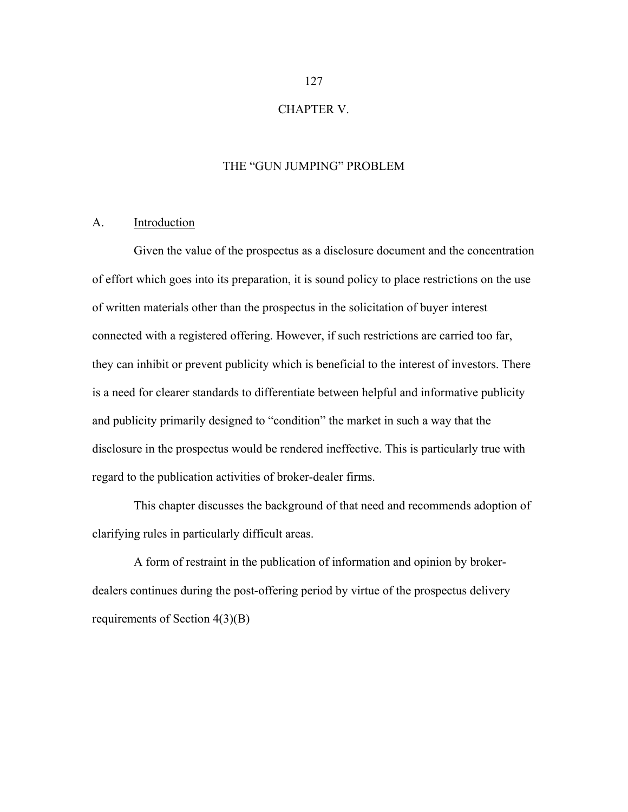## CHAPTER V.

## THE "GUN JUMPING" PROBLEM

### A. Introduction

 Given the value of the prospectus as a disclosure document and the concentration of effort which goes into its preparation, it is sound policy to place restrictions on the use of written materials other than the prospectus in the solicitation of buyer interest connected with a registered offering. However, if such restrictions are carried too far, they can inhibit or prevent publicity which is beneficial to the interest of investors. There is a need for clearer standards to differentiate between helpful and informative publicity and publicity primarily designed to "condition" the market in such a way that the disclosure in the prospectus would be rendered ineffective. This is particularly true with regard to the publication activities of broker-dealer firms.

 This chapter discusses the background of that need and recommends adoption of clarifying rules in particularly difficult areas.

 A form of restraint in the publication of information and opinion by brokerdealers continues during the post-offering period by virtue of the prospectus delivery requirements of Section 4(3)(B)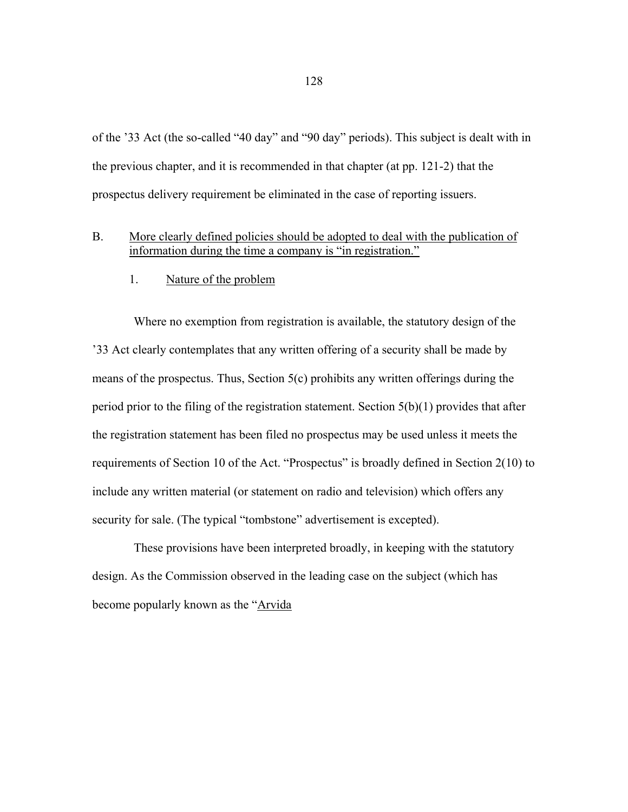of the '33 Act (the so-called "40 day" and "90 day" periods). This subject is dealt with in the previous chapter, and it is recommended in that chapter (at pp. 121-2) that the prospectus delivery requirement be eliminated in the case of reporting issuers.

- B. More clearly defined policies should be adopted to deal with the publication of information during the time a company is "in registration."
	- 1. Nature of the problem

 Where no exemption from registration is available, the statutory design of the '33 Act clearly contemplates that any written offering of a security shall be made by means of the prospectus. Thus, Section 5(c) prohibits any written offerings during the period prior to the filing of the registration statement. Section 5(b)(1) provides that after the registration statement has been filed no prospectus may be used unless it meets the requirements of Section 10 of the Act. "Prospectus" is broadly defined in Section 2(10) to include any written material (or statement on radio and television) which offers any security for sale. (The typical "tombstone" advertisement is excepted).

 These provisions have been interpreted broadly, in keeping with the statutory design. As the Commission observed in the leading case on the subject (which has become popularly known as the "Arvida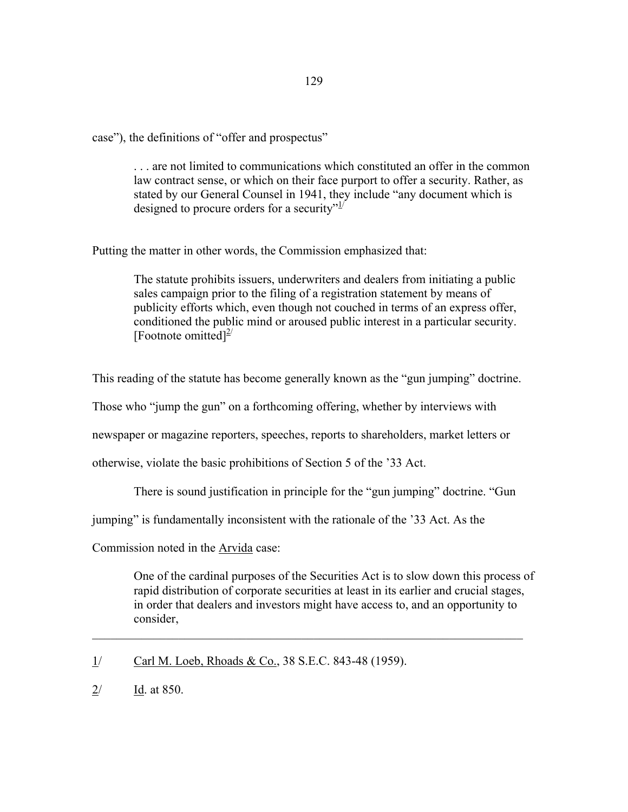case"), the definitions of "offer and prospectus"

 . . . are not limited to communications which constituted an offer in the common law contract sense, or which on their face purport to offer a security. Rather, as stated by our General Counsel in 1941, they include "any document which is designed to procure orders for a security" $1/2$ 

Putting the matter in other words, the Commission emphasized that:

 The statute prohibits issuers, underwriters and dealers from initiating a public sales campaign prior to the filing of a registration statement by means of publicity efforts which, even though not couched in terms of an express offer, conditioned the public mind or aroused public interest in a particular security. [Footnote omitted] $^{2}$ 

This reading of the statute has become generally known as the "gun jumping" doctrine.

Those who "jump the gun" on a forthcoming offering, whether by interviews with

newspaper or magazine reporters, speeches, reports to shareholders, market letters or

otherwise, violate the basic prohibitions of Section 5 of the '33 Act.

There is sound justification in principle for the "gun jumping" doctrine. "Gun

jumping" is fundamentally inconsistent with the rationale of the '33 Act. As the

Commission noted in the Arvida case:

 One of the cardinal purposes of the Securities Act is to slow down this process of rapid distribution of corporate securities at least in its earlier and crucial stages, in order that dealers and investors might have access to, and an opportunity to consider,

 $\mathcal{L}_\mathcal{L} = \mathcal{L}_\mathcal{L} = \mathcal{L}_\mathcal{L} = \mathcal{L}_\mathcal{L} = \mathcal{L}_\mathcal{L} = \mathcal{L}_\mathcal{L} = \mathcal{L}_\mathcal{L} = \mathcal{L}_\mathcal{L} = \mathcal{L}_\mathcal{L} = \mathcal{L}_\mathcal{L} = \mathcal{L}_\mathcal{L} = \mathcal{L}_\mathcal{L} = \mathcal{L}_\mathcal{L} = \mathcal{L}_\mathcal{L} = \mathcal{L}_\mathcal{L} = \mathcal{L}_\mathcal{L} = \mathcal{L}_\mathcal{L}$ 

1/ Carl M. Loeb, Rhoads & Co., 38 S.E.C. 843-48 (1959).

2/ Id. at 850.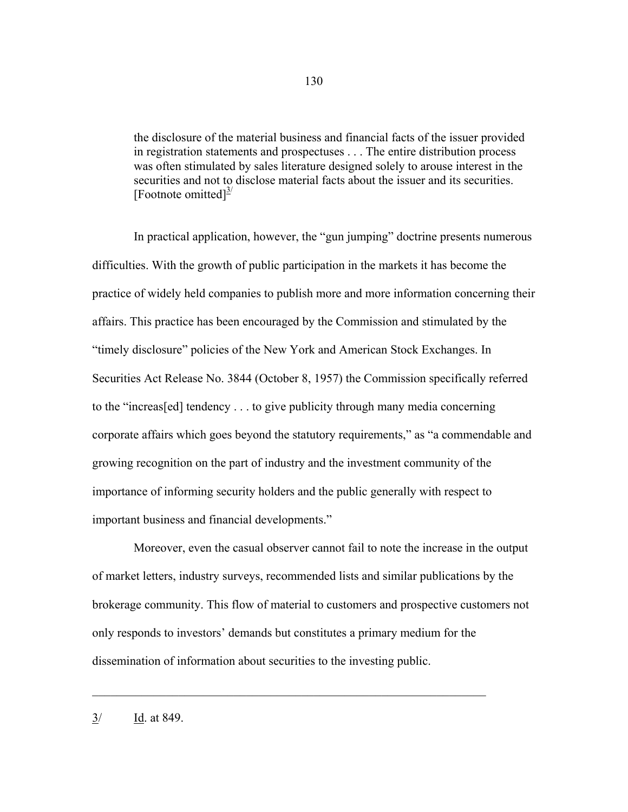the disclosure of the material business and financial facts of the issuer provided in registration statements and prospectuses . . . The entire distribution process was often stimulated by sales literature designed solely to arouse interest in the securities and not to disclose material facts about the issuer and its securities. [Footnote omitted] $\frac{3}{2}$ 

 In practical application, however, the "gun jumping" doctrine presents numerous difficulties. With the growth of public participation in the markets it has become the practice of widely held companies to publish more and more information concerning their affairs. This practice has been encouraged by the Commission and stimulated by the "timely disclosure" policies of the New York and American Stock Exchanges. In Securities Act Release No. 3844 (October 8, 1957) the Commission specifically referred to the "increas[ed] tendency . . . to give publicity through many media concerning corporate affairs which goes beyond the statutory requirements," as "a commendable and growing recognition on the part of industry and the investment community of the importance of informing security holders and the public generally with respect to important business and financial developments."

 Moreover, even the casual observer cannot fail to note the increase in the output of market letters, industry surveys, recommended lists and similar publications by the brokerage community. This flow of material to customers and prospective customers not only responds to investors' demands but constitutes a primary medium for the dissemination of information about securities to the investing public.

 $\mathcal{L}_\text{max} = \frac{1}{2} \sum_{i=1}^n \mathcal{L}_\text{max}(\mathbf{z}_i - \mathbf{z}_i)$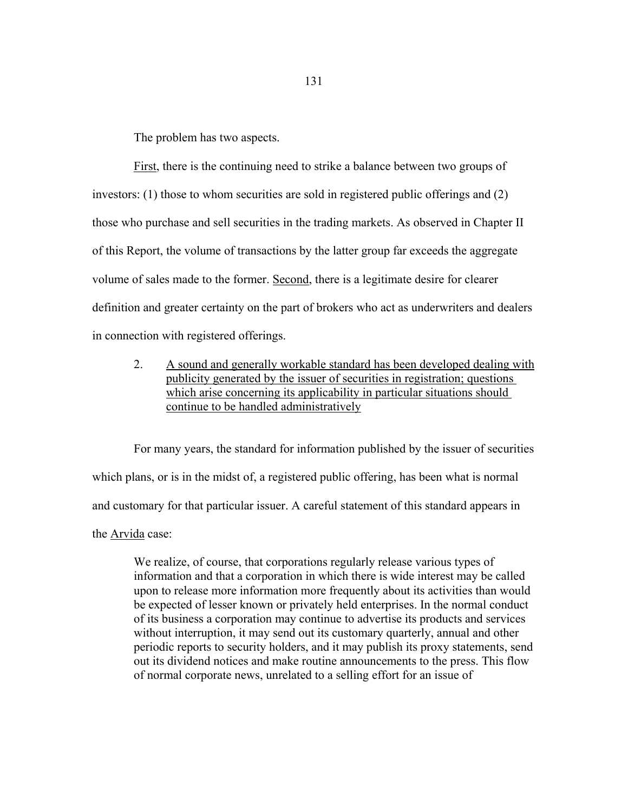The problem has two aspects.

First, there is the continuing need to strike a balance between two groups of investors: (1) those to whom securities are sold in registered public offerings and (2) those who purchase and sell securities in the trading markets. As observed in Chapter II of this Report, the volume of transactions by the latter group far exceeds the aggregate volume of sales made to the former. Second, there is a legitimate desire for clearer definition and greater certainty on the part of brokers who act as underwriters and dealers in connection with registered offerings.

 2. A sound and generally workable standard has been developed dealing with publicity generated by the issuer of securities in registration; questions which arise concerning its applicability in particular situations should continue to be handled administratively

 For many years, the standard for information published by the issuer of securities which plans, or is in the midst of, a registered public offering, has been what is normal and customary for that particular issuer. A careful statement of this standard appears in the Arvida case:

 We realize, of course, that corporations regularly release various types of information and that a corporation in which there is wide interest may be called upon to release more information more frequently about its activities than would be expected of lesser known or privately held enterprises. In the normal conduct of its business a corporation may continue to advertise its products and services without interruption, it may send out its customary quarterly, annual and other periodic reports to security holders, and it may publish its proxy statements, send out its dividend notices and make routine announcements to the press. This flow of normal corporate news, unrelated to a selling effort for an issue of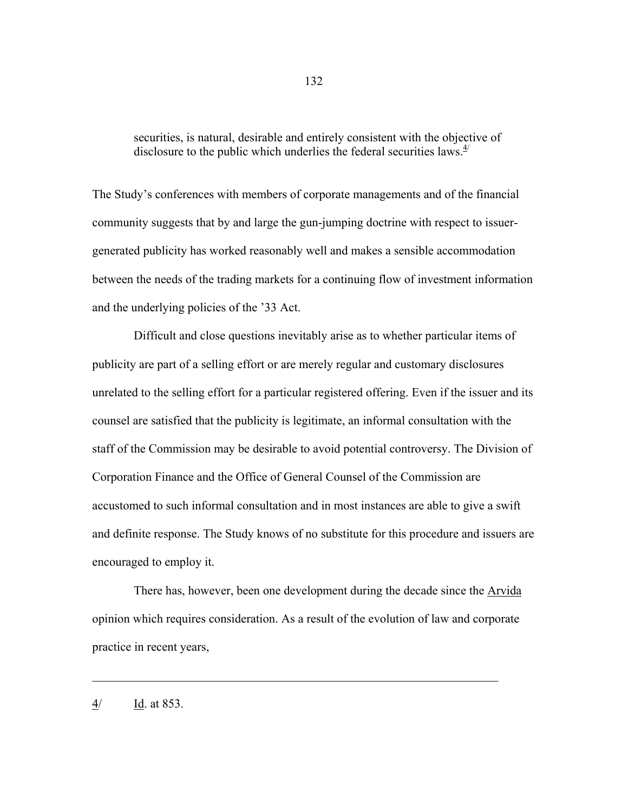securities, is natural, desirable and entirely consistent with the objective of disclosure to the public which underlies the federal securities laws. $4/4$ 

The Study's conferences with members of corporate managements and of the financial community suggests that by and large the gun-jumping doctrine with respect to issuergenerated publicity has worked reasonably well and makes a sensible accommodation between the needs of the trading markets for a continuing flow of investment information and the underlying policies of the '33 Act.

 Difficult and close questions inevitably arise as to whether particular items of publicity are part of a selling effort or are merely regular and customary disclosures unrelated to the selling effort for a particular registered offering. Even if the issuer and its counsel are satisfied that the publicity is legitimate, an informal consultation with the staff of the Commission may be desirable to avoid potential controversy. The Division of Corporation Finance and the Office of General Counsel of the Commission are accustomed to such informal consultation and in most instances are able to give a swift and definite response. The Study knows of no substitute for this procedure and issuers are encouraged to employ it.

 There has, however, been one development during the decade since the Arvida opinion which requires consideration. As a result of the evolution of law and corporate practice in recent years,

 $\mathcal{L}_\mathcal{L}$  , and the contribution of the contribution of the contribution of the contribution of the contribution of the contribution of the contribution of the contribution of the contribution of the contribution of

### 4/ Id. at 853.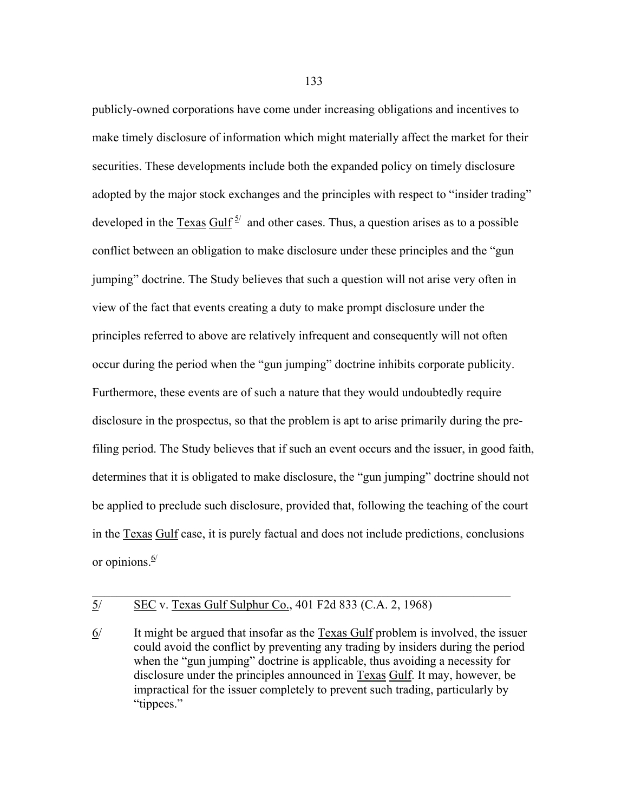publicly-owned corporations have come under increasing obligations and incentives to make timely disclosure of information which might materially affect the market for their securities. These developments include both the expanded policy on timely disclosure adopted by the major stock exchanges and the principles with respect to "insider trading" developed in the  $T$ exas  $\frac{Gulf}{ }$  and other cases. Thus, a question arises as to a possible conflict between an obligation to make disclosure under these principles and the "gun jumping" doctrine. The Study believes that such a question will not arise very often in view of the fact that events creating a duty to make prompt disclosure under the principles referred to above are relatively infrequent and consequently will not often occur during the period when the "gun jumping" doctrine inhibits corporate publicity. Furthermore, these events are of such a nature that they would undoubtedly require disclosure in the prospectus, so that the problem is apt to arise primarily during the prefiling period. The Study believes that if such an event occurs and the issuer, in good faith, determines that it is obligated to make disclosure, the "gun jumping" doctrine should not be applied to preclude such disclosure, provided that, following the teaching of the court in the Texas Gulf case, it is purely factual and does not include predictions, conclusions or opinions. $6/$ 

# 5/ SEC v. Texas Gulf Sulphur Co., 401 F2d 833 (C.A. 2, 1968)

6/ It might be argued that insofar as the Texas Gulf problem is involved, the issuer could avoid the conflict by preventing any trading by insiders during the period when the "gun jumping" doctrine is applicable, thus avoiding a necessity for disclosure under the principles announced in Texas Gulf. It may, however, be impractical for the issuer completely to prevent such trading, particularly by "tippees."

 $\mathcal{L}_\mathcal{L} = \mathcal{L}_\mathcal{L} = \mathcal{L}_\mathcal{L} = \mathcal{L}_\mathcal{L} = \mathcal{L}_\mathcal{L} = \mathcal{L}_\mathcal{L} = \mathcal{L}_\mathcal{L} = \mathcal{L}_\mathcal{L} = \mathcal{L}_\mathcal{L} = \mathcal{L}_\mathcal{L} = \mathcal{L}_\mathcal{L} = \mathcal{L}_\mathcal{L} = \mathcal{L}_\mathcal{L} = \mathcal{L}_\mathcal{L} = \mathcal{L}_\mathcal{L} = \mathcal{L}_\mathcal{L} = \mathcal{L}_\mathcal{L}$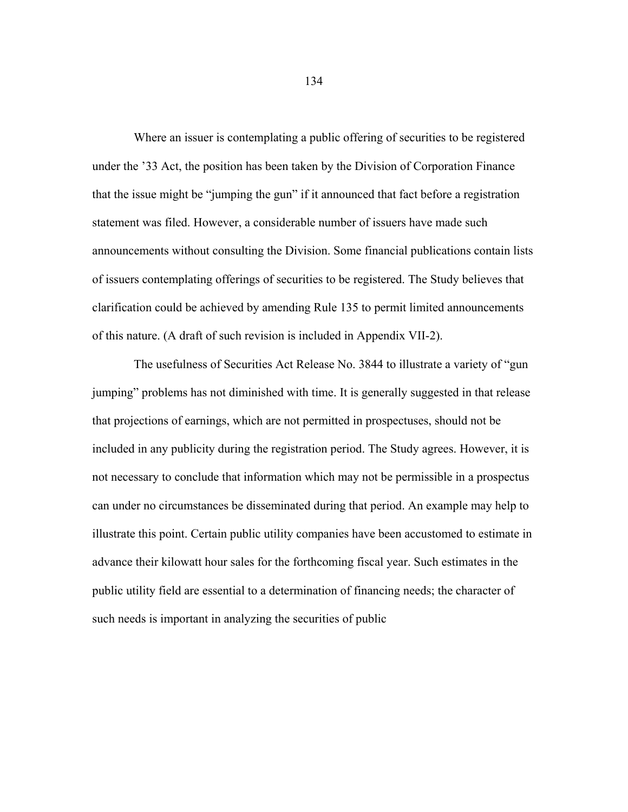Where an issuer is contemplating a public offering of securities to be registered under the '33 Act, the position has been taken by the Division of Corporation Finance that the issue might be "jumping the gun" if it announced that fact before a registration statement was filed. However, a considerable number of issuers have made such announcements without consulting the Division. Some financial publications contain lists of issuers contemplating offerings of securities to be registered. The Study believes that clarification could be achieved by amending Rule 135 to permit limited announcements of this nature. (A draft of such revision is included in Appendix VII-2).

 The usefulness of Securities Act Release No. 3844 to illustrate a variety of "gun jumping" problems has not diminished with time. It is generally suggested in that release that projections of earnings, which are not permitted in prospectuses, should not be included in any publicity during the registration period. The Study agrees. However, it is not necessary to conclude that information which may not be permissible in a prospectus can under no circumstances be disseminated during that period. An example may help to illustrate this point. Certain public utility companies have been accustomed to estimate in advance their kilowatt hour sales for the forthcoming fiscal year. Such estimates in the public utility field are essential to a determination of financing needs; the character of such needs is important in analyzing the securities of public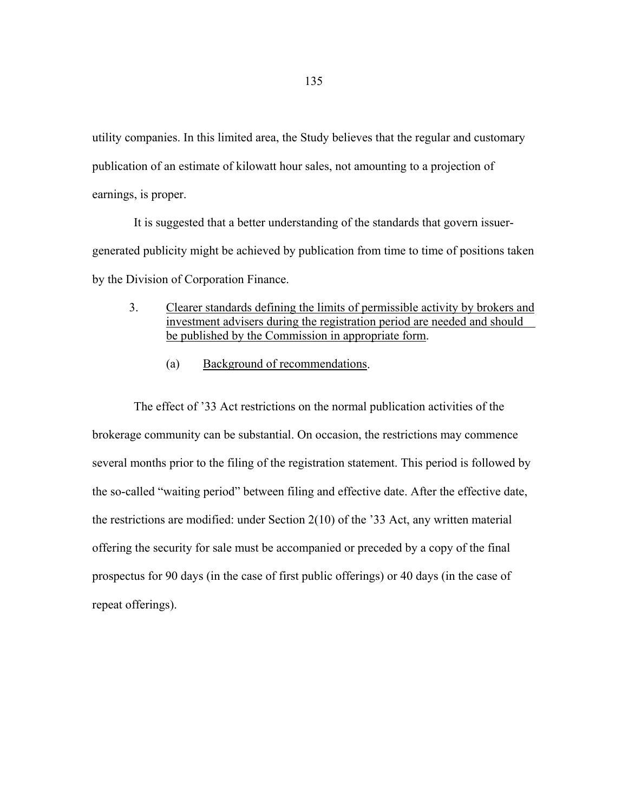utility companies. In this limited area, the Study believes that the regular and customary publication of an estimate of kilowatt hour sales, not amounting to a projection of earnings, is proper.

 It is suggested that a better understanding of the standards that govern issuergenerated publicity might be achieved by publication from time to time of positions taken by the Division of Corporation Finance.

- 3. Clearer standards defining the limits of permissible activity by brokers and investment advisers during the registration period are needed and should be published by the Commission in appropriate form.
	- (a) Background of recommendations.

 The effect of '33 Act restrictions on the normal publication activities of the brokerage community can be substantial. On occasion, the restrictions may commence several months prior to the filing of the registration statement. This period is followed by the so-called "waiting period" between filing and effective date. After the effective date, the restrictions are modified: under Section 2(10) of the '33 Act, any written material offering the security for sale must be accompanied or preceded by a copy of the final prospectus for 90 days (in the case of first public offerings) or 40 days (in the case of repeat offerings).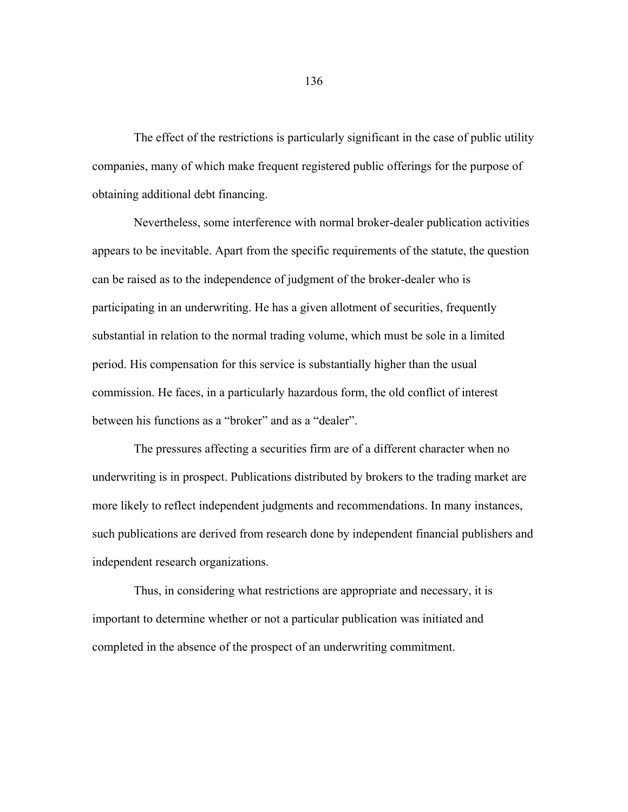The effect of the restrictions is particularly significant in the case of public utility companies, many of which make frequent registered public offerings for the purpose of obtaining additional debt financing.

 Nevertheless, some interference with normal broker-dealer publication activities appears to be inevitable. Apart from the specific requirements of the statute, the question can be raised as to the independence of judgment of the broker-dealer who is participating in an underwriting. He has a given allotment of securities, frequently substantial in relation to the normal trading volume, which must be sole in a limited period. His compensation for this service is substantially higher than the usual commission. He faces, in a particularly hazardous form, the old conflict of interest between his functions as a "broker" and as a "dealer".

 The pressures affecting a securities firm are of a different character when no underwriting is in prospect. Publications distributed by brokers to the trading market are more likely to reflect independent judgments and recommendations. In many instances, such publications are derived from research done by independent financial publishers and independent research organizations.

 Thus, in considering what restrictions are appropriate and necessary, it is important to determine whether or not a particular publication was initiated and completed in the absence of the prospect of an underwriting commitment.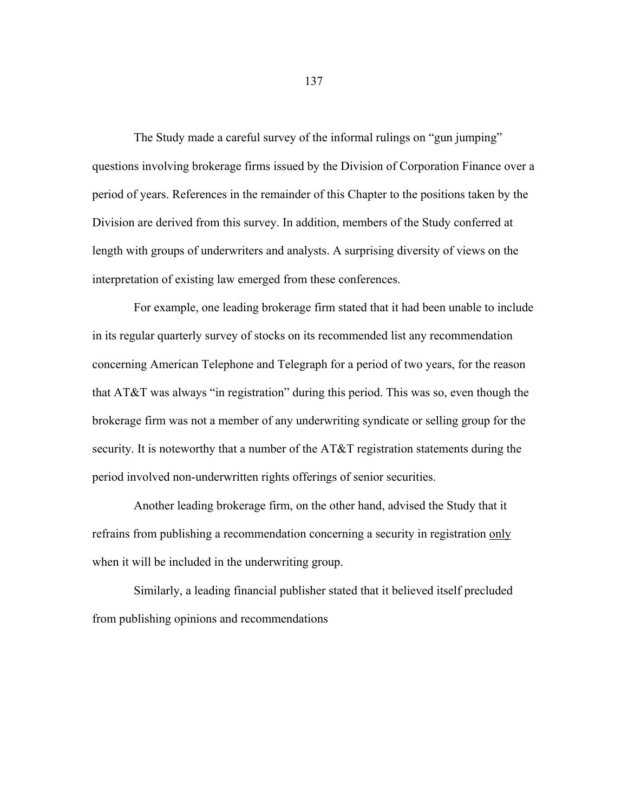The Study made a careful survey of the informal rulings on "gun jumping" questions involving brokerage firms issued by the Division of Corporation Finance over a period of years. References in the remainder of this Chapter to the positions taken by the Division are derived from this survey. In addition, members of the Study conferred at length with groups of underwriters and analysts. A surprising diversity of views on the interpretation of existing law emerged from these conferences.

 For example, one leading brokerage firm stated that it had been unable to include in its regular quarterly survey of stocks on its recommended list any recommendation concerning American Telephone and Telegraph for a period of two years, for the reason that AT&T was always "in registration" during this period. This was so, even though the brokerage firm was not a member of any underwriting syndicate or selling group for the security. It is noteworthy that a number of the AT&T registration statements during the period involved non-underwritten rights offerings of senior securities.

 Another leading brokerage firm, on the other hand, advised the Study that it refrains from publishing a recommendation concerning a security in registration only when it will be included in the underwriting group.

 Similarly, a leading financial publisher stated that it believed itself precluded from publishing opinions and recommendations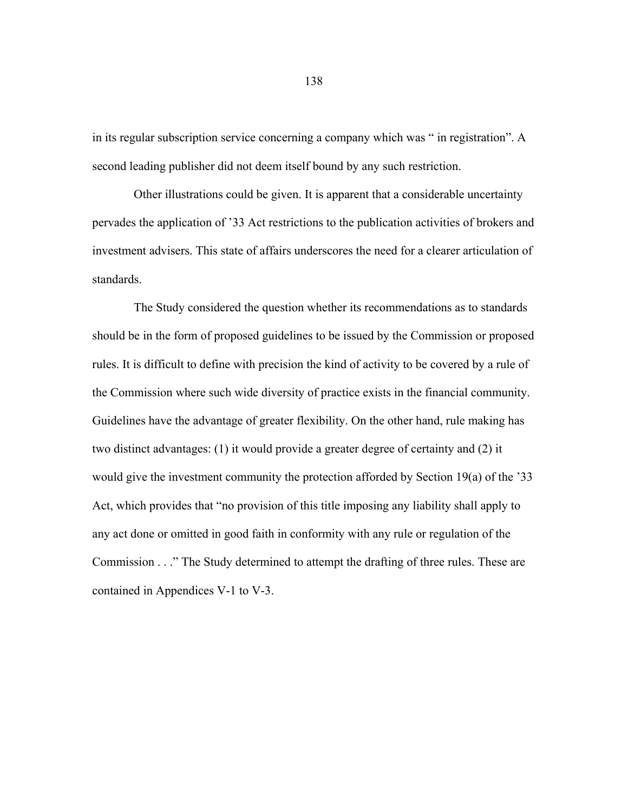in its regular subscription service concerning a company which was " in registration". A second leading publisher did not deem itself bound by any such restriction.

 Other illustrations could be given. It is apparent that a considerable uncertainty pervades the application of '33 Act restrictions to the publication activities of brokers and investment advisers. This state of affairs underscores the need for a clearer articulation of standards.

 The Study considered the question whether its recommendations as to standards should be in the form of proposed guidelines to be issued by the Commission or proposed rules. It is difficult to define with precision the kind of activity to be covered by a rule of the Commission where such wide diversity of practice exists in the financial community. Guidelines have the advantage of greater flexibility. On the other hand, rule making has two distinct advantages: (1) it would provide a greater degree of certainty and (2) it would give the investment community the protection afforded by Section 19(a) of the '33 Act, which provides that "no provision of this title imposing any liability shall apply to any act done or omitted in good faith in conformity with any rule or regulation of the Commission . . ." The Study determined to attempt the drafting of three rules. These are contained in Appendices V-1 to V-3.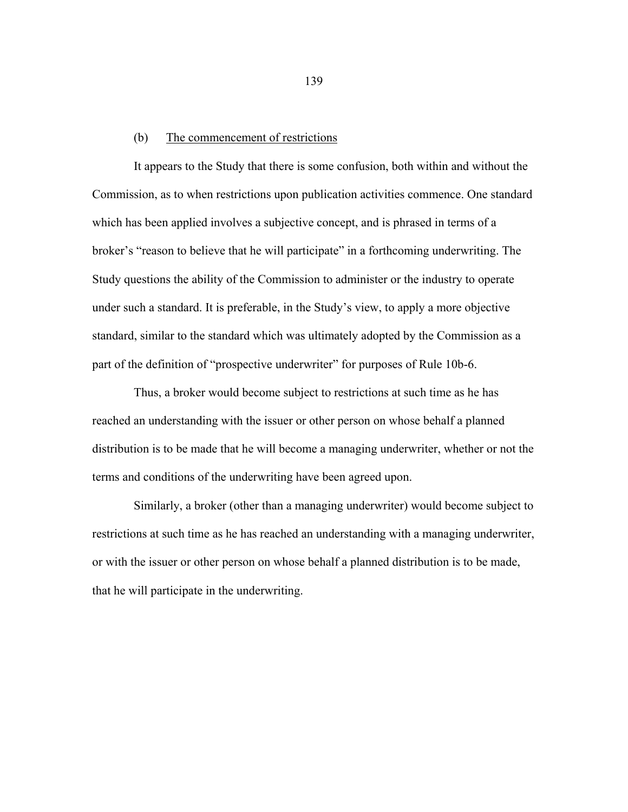## (b) The commencement of restrictions

 It appears to the Study that there is some confusion, both within and without the Commission, as to when restrictions upon publication activities commence. One standard which has been applied involves a subjective concept, and is phrased in terms of a broker's "reason to believe that he will participate" in a forthcoming underwriting. The Study questions the ability of the Commission to administer or the industry to operate under such a standard. It is preferable, in the Study's view, to apply a more objective standard, similar to the standard which was ultimately adopted by the Commission as a part of the definition of "prospective underwriter" for purposes of Rule 10b-6.

 Thus, a broker would become subject to restrictions at such time as he has reached an understanding with the issuer or other person on whose behalf a planned distribution is to be made that he will become a managing underwriter, whether or not the terms and conditions of the underwriting have been agreed upon.

 Similarly, a broker (other than a managing underwriter) would become subject to restrictions at such time as he has reached an understanding with a managing underwriter, or with the issuer or other person on whose behalf a planned distribution is to be made, that he will participate in the underwriting.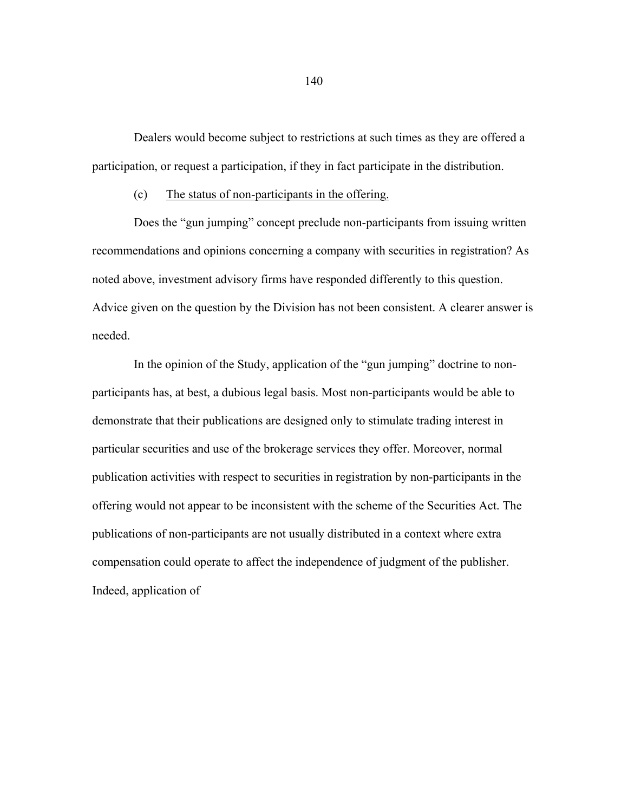Dealers would become subject to restrictions at such times as they are offered a participation, or request a participation, if they in fact participate in the distribution.

## (c) The status of non-participants in the offering.

 Does the "gun jumping" concept preclude non-participants from issuing written recommendations and opinions concerning a company with securities in registration? As noted above, investment advisory firms have responded differently to this question. Advice given on the question by the Division has not been consistent. A clearer answer is needed.

 In the opinion of the Study, application of the "gun jumping" doctrine to nonparticipants has, at best, a dubious legal basis. Most non-participants would be able to demonstrate that their publications are designed only to stimulate trading interest in particular securities and use of the brokerage services they offer. Moreover, normal publication activities with respect to securities in registration by non-participants in the offering would not appear to be inconsistent with the scheme of the Securities Act. The publications of non-participants are not usually distributed in a context where extra compensation could operate to affect the independence of judgment of the publisher. Indeed, application of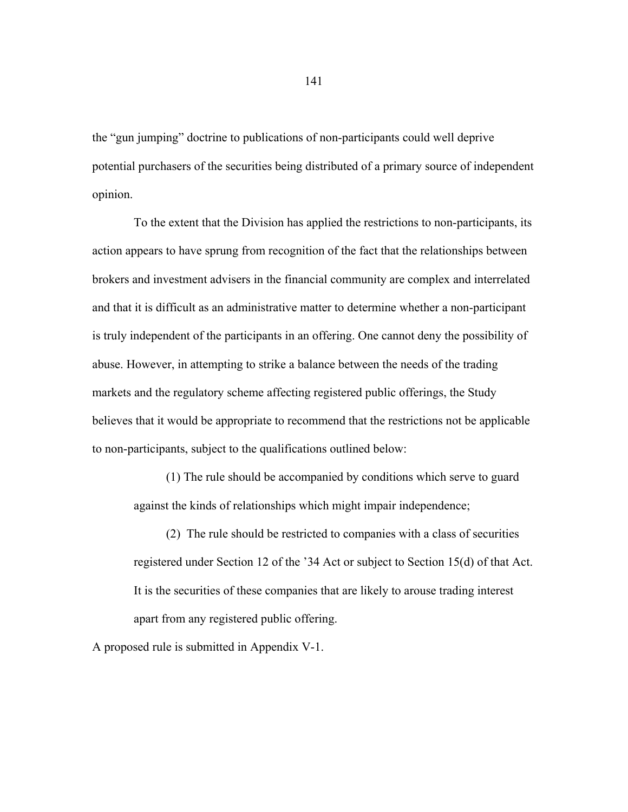the "gun jumping" doctrine to publications of non-participants could well deprive potential purchasers of the securities being distributed of a primary source of independent opinion.

 To the extent that the Division has applied the restrictions to non-participants, its action appears to have sprung from recognition of the fact that the relationships between brokers and investment advisers in the financial community are complex and interrelated and that it is difficult as an administrative matter to determine whether a non-participant is truly independent of the participants in an offering. One cannot deny the possibility of abuse. However, in attempting to strike a balance between the needs of the trading markets and the regulatory scheme affecting registered public offerings, the Study believes that it would be appropriate to recommend that the restrictions not be applicable to non-participants, subject to the qualifications outlined below:

 (1) The rule should be accompanied by conditions which serve to guard against the kinds of relationships which might impair independence;

 (2) The rule should be restricted to companies with a class of securities registered under Section 12 of the '34 Act or subject to Section 15(d) of that Act. It is the securities of these companies that are likely to arouse trading interest apart from any registered public offering.

A proposed rule is submitted in Appendix V-1.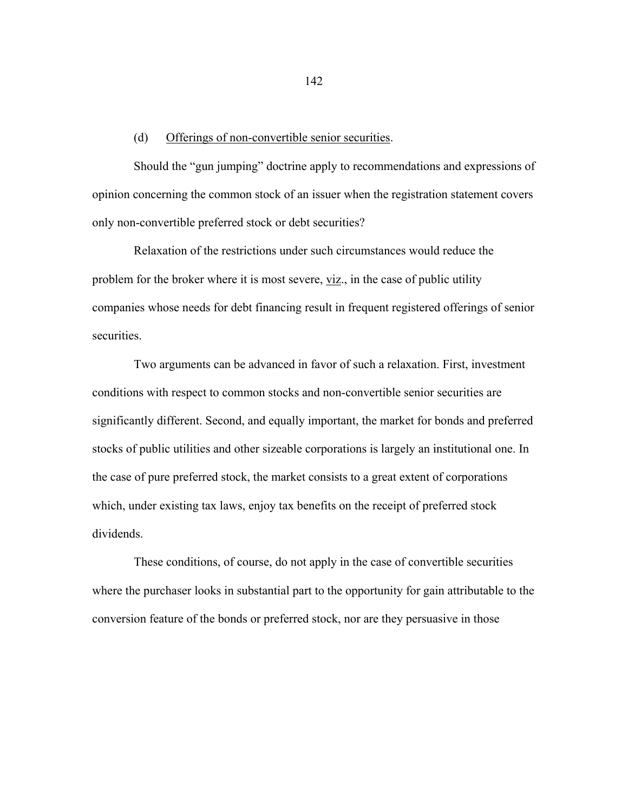#### (d) Offerings of non-convertible senior securities.

 Should the "gun jumping" doctrine apply to recommendations and expressions of opinion concerning the common stock of an issuer when the registration statement covers only non-convertible preferred stock or debt securities?

 Relaxation of the restrictions under such circumstances would reduce the problem for the broker where it is most severe, viz., in the case of public utility companies whose needs for debt financing result in frequent registered offerings of senior securities.

 Two arguments can be advanced in favor of such a relaxation. First, investment conditions with respect to common stocks and non-convertible senior securities are significantly different. Second, and equally important, the market for bonds and preferred stocks of public utilities and other sizeable corporations is largely an institutional one. In the case of pure preferred stock, the market consists to a great extent of corporations which, under existing tax laws, enjoy tax benefits on the receipt of preferred stock dividends.

 These conditions, of course, do not apply in the case of convertible securities where the purchaser looks in substantial part to the opportunity for gain attributable to the conversion feature of the bonds or preferred stock, nor are they persuasive in those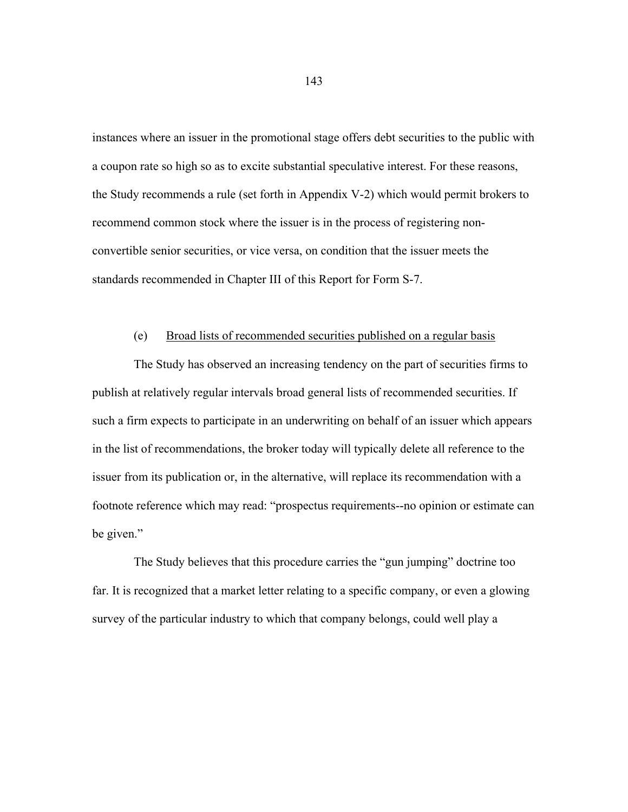instances where an issuer in the promotional stage offers debt securities to the public with a coupon rate so high so as to excite substantial speculative interest. For these reasons, the Study recommends a rule (set forth in Appendix V-2) which would permit brokers to recommend common stock where the issuer is in the process of registering nonconvertible senior securities, or vice versa, on condition that the issuer meets the standards recommended in Chapter III of this Report for Form S-7.

## (e) Broad lists of recommended securities published on a regular basis

 The Study has observed an increasing tendency on the part of securities firms to publish at relatively regular intervals broad general lists of recommended securities. If such a firm expects to participate in an underwriting on behalf of an issuer which appears in the list of recommendations, the broker today will typically delete all reference to the issuer from its publication or, in the alternative, will replace its recommendation with a footnote reference which may read: "prospectus requirements--no opinion or estimate can be given."

 The Study believes that this procedure carries the "gun jumping" doctrine too far. It is recognized that a market letter relating to a specific company, or even a glowing survey of the particular industry to which that company belongs, could well play a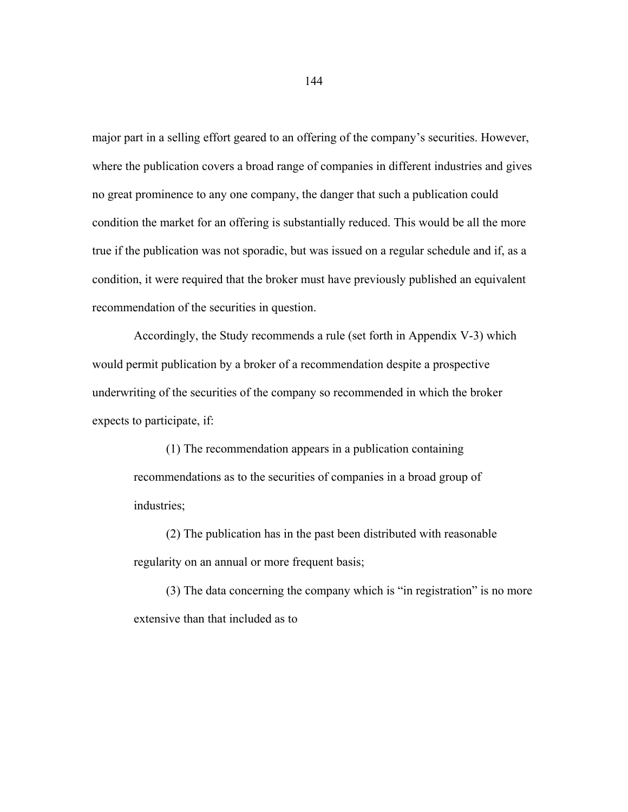major part in a selling effort geared to an offering of the company's securities. However, where the publication covers a broad range of companies in different industries and gives no great prominence to any one company, the danger that such a publication could condition the market for an offering is substantially reduced. This would be all the more true if the publication was not sporadic, but was issued on a regular schedule and if, as a condition, it were required that the broker must have previously published an equivalent recommendation of the securities in question.

 Accordingly, the Study recommends a rule (set forth in Appendix V-3) which would permit publication by a broker of a recommendation despite a prospective underwriting of the securities of the company so recommended in which the broker expects to participate, if:

 (1) The recommendation appears in a publication containing recommendations as to the securities of companies in a broad group of industries;

 (2) The publication has in the past been distributed with reasonable regularity on an annual or more frequent basis;

 (3) The data concerning the company which is "in registration" is no more extensive than that included as to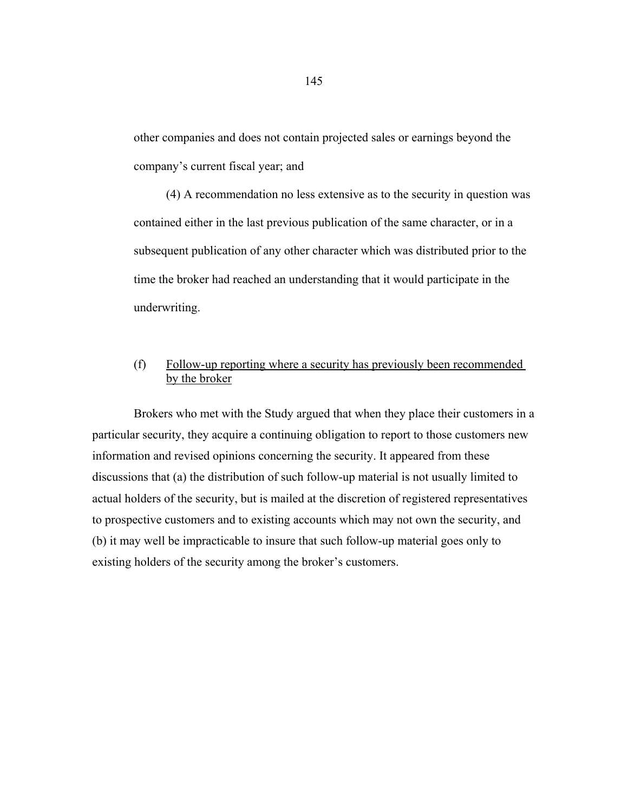other companies and does not contain projected sales or earnings beyond the company's current fiscal year; and

 (4) A recommendation no less extensive as to the security in question was contained either in the last previous publication of the same character, or in a subsequent publication of any other character which was distributed prior to the time the broker had reached an understanding that it would participate in the underwriting.

# (f) Follow-up reporting where a security has previously been recommended by the broker

 Brokers who met with the Study argued that when they place their customers in a particular security, they acquire a continuing obligation to report to those customers new information and revised opinions concerning the security. It appeared from these discussions that (a) the distribution of such follow-up material is not usually limited to actual holders of the security, but is mailed at the discretion of registered representatives to prospective customers and to existing accounts which may not own the security, and (b) it may well be impracticable to insure that such follow-up material goes only to existing holders of the security among the broker's customers.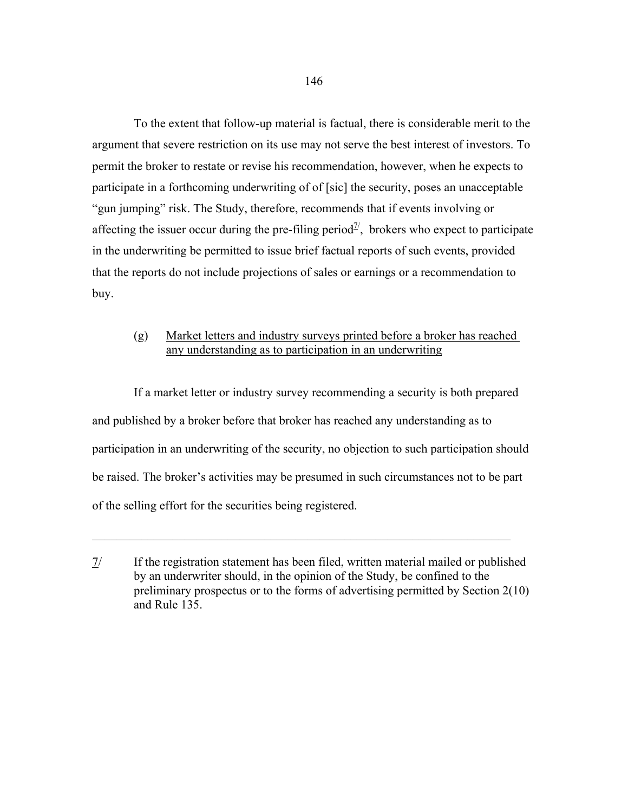To the extent that follow-up material is factual, there is considerable merit to the argument that severe restriction on its use may not serve the best interest of investors. To permit the broker to restate or revise his recommendation, however, when he expects to participate in a forthcoming underwriting of of [sic] the security, poses an unacceptable "gun jumping" risk. The Study, therefore, recommends that if events involving or affecting the issuer occur during the pre-filing period<sup> $\mathcal{I}'$ </sup>, brokers who expect to participate in the underwriting be permitted to issue brief factual reports of such events, provided that the reports do not include projections of sales or earnings or a recommendation to buy.

## (g) Market letters and industry surveys printed before a broker has reached any understanding as to participation in an underwriting

 If a market letter or industry survey recommending a security is both prepared and published by a broker before that broker has reached any understanding as to participation in an underwriting of the security, no objection to such participation should be raised. The broker's activities may be presumed in such circumstances not to be part of the selling effort for the securities being registered.

 $\mathcal{L}_\mathcal{L} = \mathcal{L}_\mathcal{L} = \mathcal{L}_\mathcal{L} = \mathcal{L}_\mathcal{L} = \mathcal{L}_\mathcal{L} = \mathcal{L}_\mathcal{L} = \mathcal{L}_\mathcal{L} = \mathcal{L}_\mathcal{L} = \mathcal{L}_\mathcal{L} = \mathcal{L}_\mathcal{L} = \mathcal{L}_\mathcal{L} = \mathcal{L}_\mathcal{L} = \mathcal{L}_\mathcal{L} = \mathcal{L}_\mathcal{L} = \mathcal{L}_\mathcal{L} = \mathcal{L}_\mathcal{L} = \mathcal{L}_\mathcal{L}$ 

<sup>7/</sup> If the registration statement has been filed, written material mailed or published by an underwriter should, in the opinion of the Study, be confined to the preliminary prospectus or to the forms of advertising permitted by Section 2(10) and Rule 135.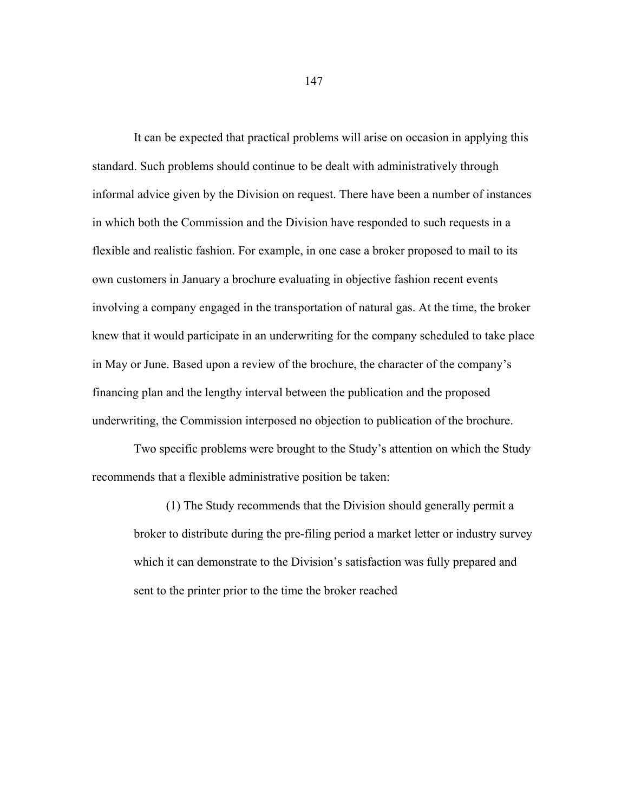It can be expected that practical problems will arise on occasion in applying this standard. Such problems should continue to be dealt with administratively through informal advice given by the Division on request. There have been a number of instances in which both the Commission and the Division have responded to such requests in a flexible and realistic fashion. For example, in one case a broker proposed to mail to its own customers in January a brochure evaluating in objective fashion recent events involving a company engaged in the transportation of natural gas. At the time, the broker knew that it would participate in an underwriting for the company scheduled to take place in May or June. Based upon a review of the brochure, the character of the company's financing plan and the lengthy interval between the publication and the proposed underwriting, the Commission interposed no objection to publication of the brochure.

 Two specific problems were brought to the Study's attention on which the Study recommends that a flexible administrative position be taken:

 (1) The Study recommends that the Division should generally permit a broker to distribute during the pre-filing period a market letter or industry survey which it can demonstrate to the Division's satisfaction was fully prepared and sent to the printer prior to the time the broker reached